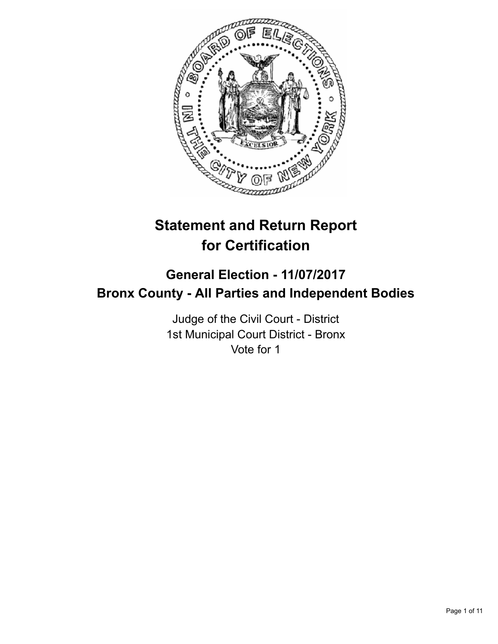

# **Statement and Return Report for Certification**

## **General Election - 11/07/2017 Bronx County - All Parties and Independent Bodies**

Judge of the Civil Court - District 1st Municipal Court District - Bronx Vote for 1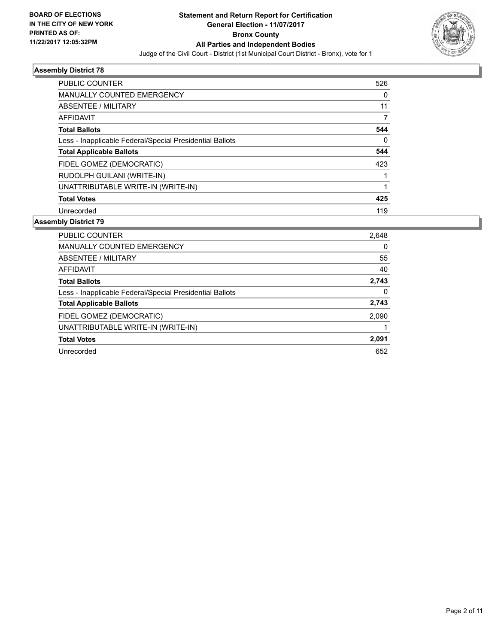

| <b>PUBLIC COUNTER</b>                                    | 526      |
|----------------------------------------------------------|----------|
| <b>MANUALLY COUNTED EMERGENCY</b>                        | 0        |
| ABSENTEE / MILITARY                                      | 11       |
| AFFIDAVIT                                                | 7        |
| <b>Total Ballots</b>                                     | 544      |
| Less - Inapplicable Federal/Special Presidential Ballots | $\Omega$ |
| <b>Total Applicable Ballots</b>                          | 544      |
| FIDEL GOMEZ (DEMOCRATIC)                                 | 423      |
| RUDOLPH GUILANI (WRITE-IN)                               |          |
| UNATTRIBUTABLE WRITE-IN (WRITE-IN)                       |          |
| <b>Total Votes</b>                                       | 425      |
| Unrecorded                                               | 119      |

| PUBLIC COUNTER                                           | 2,648 |
|----------------------------------------------------------|-------|
| MANUALLY COUNTED EMERGENCY                               | 0     |
| ABSENTEE / MILITARY                                      | 55    |
| <b>AFFIDAVIT</b>                                         | 40    |
| <b>Total Ballots</b>                                     | 2,743 |
| Less - Inapplicable Federal/Special Presidential Ballots | 0     |
| <b>Total Applicable Ballots</b>                          | 2,743 |
| FIDEL GOMEZ (DEMOCRATIC)                                 | 2,090 |
| UNATTRIBUTABLE WRITE-IN (WRITE-IN)                       |       |
| <b>Total Votes</b>                                       | 2,091 |
| Unrecorded                                               | 652   |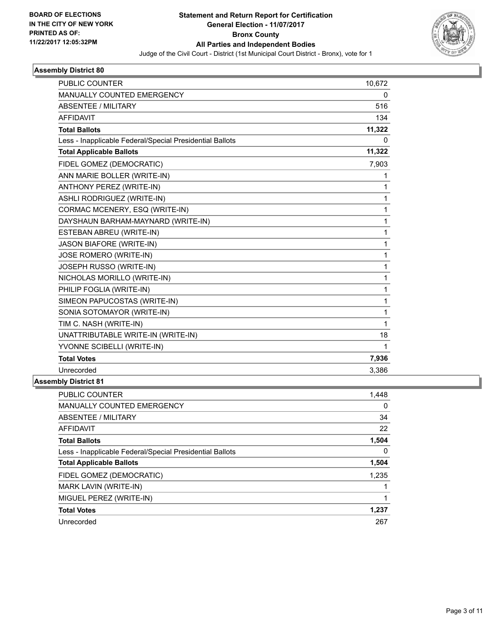

| <b>PUBLIC COUNTER</b>                                    | 10,672       |
|----------------------------------------------------------|--------------|
| <b>MANUALLY COUNTED EMERGENCY</b>                        | 0            |
| <b>ABSENTEE / MILITARY</b>                               | 516          |
| <b>AFFIDAVIT</b>                                         | 134          |
| <b>Total Ballots</b>                                     | 11,322       |
| Less - Inapplicable Federal/Special Presidential Ballots | 0            |
| <b>Total Applicable Ballots</b>                          | 11,322       |
| FIDEL GOMEZ (DEMOCRATIC)                                 | 7,903        |
| ANN MARIE BOLLER (WRITE-IN)                              | 1            |
| <b>ANTHONY PEREZ (WRITE-IN)</b>                          | $\mathbf{1}$ |
| ASHLI RODRIGUEZ (WRITE-IN)                               | 1            |
| CORMAC MCENERY, ESQ (WRITE-IN)                           | 1            |
| DAYSHAUN BARHAM-MAYNARD (WRITE-IN)                       | 1            |
| ESTEBAN ABREU (WRITE-IN)                                 | 1            |
| <b>JASON BIAFORE (WRITE-IN)</b>                          | $\mathbf{1}$ |
| JOSE ROMERO (WRITE-IN)                                   | 1            |
| JOSEPH RUSSO (WRITE-IN)                                  | 1            |
| NICHOLAS MORILLO (WRITE-IN)                              | 1            |
| PHILIP FOGLIA (WRITE-IN)                                 | 1            |
| SIMEON PAPUCOSTAS (WRITE-IN)                             | 1            |
| SONIA SOTOMAYOR (WRITE-IN)                               | 1            |
| TIM C. NASH (WRITE-IN)                                   | 1            |
| UNATTRIBUTABLE WRITE-IN (WRITE-IN)                       | 18           |
| YVONNE SCIBELLI (WRITE-IN)                               | 1            |
| <b>Total Votes</b>                                       | 7,936        |
| Unrecorded                                               | 3,386        |
| L. L. L. III. L. L. L. L. A. A                           |              |

| <b>PUBLIC COUNTER</b>                                    | 1,448 |
|----------------------------------------------------------|-------|
| <b>MANUALLY COUNTED EMERGENCY</b>                        | 0     |
| ABSENTEE / MILITARY                                      | 34    |
| AFFIDAVIT                                                | 22    |
| <b>Total Ballots</b>                                     | 1,504 |
| Less - Inapplicable Federal/Special Presidential Ballots | 0     |
| <b>Total Applicable Ballots</b>                          | 1,504 |
| FIDEL GOMEZ (DEMOCRATIC)                                 | 1,235 |
| <b>MARK LAVIN (WRITE-IN)</b>                             |       |
| MIGUEL PEREZ (WRITE-IN)                                  |       |
| <b>Total Votes</b>                                       | 1,237 |
| Unrecorded                                               | 267   |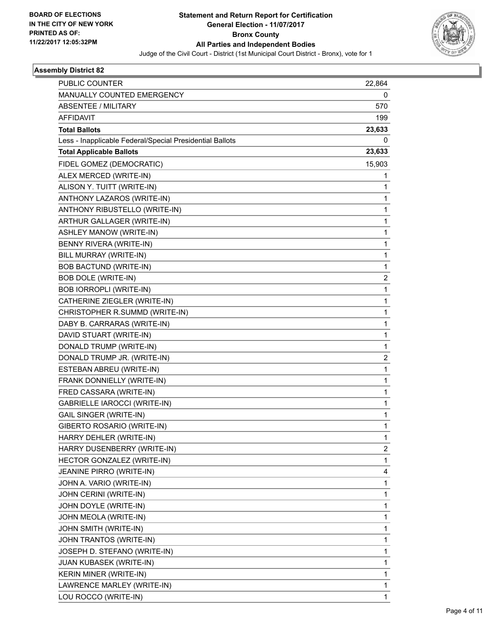

| <b>PUBLIC COUNTER</b>                                    | 22,864 |
|----------------------------------------------------------|--------|
| MANUALLY COUNTED EMERGENCY                               | 0      |
| <b>ABSENTEE / MILITARY</b>                               | 570    |
| <b>AFFIDAVIT</b>                                         | 199    |
| <b>Total Ballots</b>                                     | 23,633 |
| Less - Inapplicable Federal/Special Presidential Ballots | 0      |
| <b>Total Applicable Ballots</b>                          | 23,633 |
| FIDEL GOMEZ (DEMOCRATIC)                                 | 15,903 |
| ALEX MERCED (WRITE-IN)                                   | 1      |
| ALISON Y. TUITT (WRITE-IN)                               | 1      |
| ANTHONY LAZAROS (WRITE-IN)                               | 1      |
| ANTHONY RIBUSTELLO (WRITE-IN)                            | 1      |
| ARTHUR GALLAGER (WRITE-IN)                               | 1      |
| ASHLEY MANOW (WRITE-IN)                                  | 1      |
| BENNY RIVERA (WRITE-IN)                                  | 1      |
| BILL MURRAY (WRITE-IN)                                   | 1      |
| <b>BOB BACTUND (WRITE-IN)</b>                            | 1      |
| <b>BOB DOLE (WRITE-IN)</b>                               | 2      |
| <b>BOB IORROPLI (WRITE-IN)</b>                           | 1      |
| CATHERINE ZIEGLER (WRITE-IN)                             | 1      |
| CHRISTOPHER R.SUMMD (WRITE-IN)                           | 1      |
| DABY B. CARRARAS (WRITE-IN)                              | 1      |
| DAVID STUART (WRITE-IN)                                  | 1      |
| DONALD TRUMP (WRITE-IN)                                  | 1      |
| DONALD TRUMP JR. (WRITE-IN)                              | 2      |
| ESTEBAN ABREU (WRITE-IN)                                 | 1      |
| FRANK DONNIELLY (WRITE-IN)                               | 1      |
| FRED CASSARA (WRITE-IN)                                  | 1      |
| GABRIELLE IAROCCI (WRITE-IN)                             | 1      |
| <b>GAIL SINGER (WRITE-IN)</b>                            | 1      |
| GIBERTO ROSARIO (WRITE-IN)                               | 1      |
| HARRY DEHLER (WRITE-IN)                                  | 1      |
| HARRY DUSENBERRY (WRITE-IN)                              | 2      |
| HECTOR GONZALEZ (WRITE-IN)                               | 1      |
| JEANINE PIRRO (WRITE-IN)                                 | 4      |
| JOHN A. VARIO (WRITE-IN)                                 | 1      |
| JOHN CERINI (WRITE-IN)                                   | 1      |
| JOHN DOYLE (WRITE-IN)                                    | 1      |
| JOHN MEOLA (WRITE-IN)                                    | 1      |
| JOHN SMITH (WRITE-IN)                                    | 1      |
| JOHN TRANTOS (WRITE-IN)                                  | 1      |
| JOSEPH D. STEFANO (WRITE-IN)                             | 1      |
| JUAN KUBASEK (WRITE-IN)                                  | 1      |
| KERIN MINER (WRITE-IN)                                   | 1      |
| LAWRENCE MARLEY (WRITE-IN)                               | 1      |
| LOU ROCCO (WRITE-IN)                                     | 1      |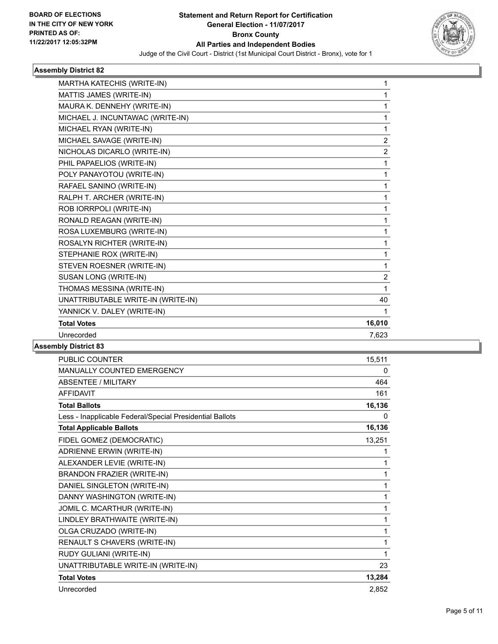

| MARTHA KATECHIS (WRITE-IN)         | 1              |
|------------------------------------|----------------|
| MATTIS JAMES (WRITE-IN)            | 1              |
| MAURA K. DENNEHY (WRITE-IN)        | 1              |
| MICHAEL J. INCUNTAWAC (WRITE-IN)   | 1              |
| MICHAEL RYAN (WRITE-IN)            | 1              |
| MICHAEL SAVAGE (WRITE-IN)          | $\overline{2}$ |
| NICHOLAS DICARLO (WRITE-IN)        | $\overline{2}$ |
| PHIL PAPAELIOS (WRITE-IN)          | 1              |
| POLY PANAYOTOU (WRITE-IN)          | 1              |
| RAFAEL SANINO (WRITE-IN)           | 1              |
| RALPH T. ARCHER (WRITE-IN)         | 1              |
| ROB IORRPOLI (WRITE-IN)            | 1              |
| RONALD REAGAN (WRITE-IN)           | 1              |
| ROSA LUXEMBURG (WRITE-IN)          | 1              |
| ROSALYN RICHTER (WRITE-IN)         | 1              |
| STEPHANIE ROX (WRITE-IN)           | 1              |
| STEVEN ROESNER (WRITE-IN)          | 1              |
| SUSAN LONG (WRITE-IN)              | $\overline{2}$ |
| THOMAS MESSINA (WRITE-IN)          | 1              |
| UNATTRIBUTABLE WRITE-IN (WRITE-IN) | 40             |
| YANNICK V. DALEY (WRITE-IN)        | 1              |
| <b>Total Votes</b>                 | 16,010         |
| Unrecorded                         | 7,623          |
|                                    |                |

| PUBLIC COUNTER                                           | 15,511 |
|----------------------------------------------------------|--------|
| MANUALLY COUNTED EMERGENCY                               | 0      |
| <b>ABSENTEE / MILITARY</b>                               | 464    |
| <b>AFFIDAVIT</b>                                         | 161    |
| <b>Total Ballots</b>                                     | 16,136 |
| Less - Inapplicable Federal/Special Presidential Ballots | 0      |
| <b>Total Applicable Ballots</b>                          | 16,136 |
| FIDEL GOMEZ (DEMOCRATIC)                                 | 13,251 |
| ADRIENNE ERWIN (WRITE-IN)                                | 1      |
| ALEXANDER LEVIE (WRITE-IN)                               | 1      |
| BRANDON FRAZIER (WRITE-IN)                               | 1      |
| DANIEL SINGLETON (WRITE-IN)                              | 1      |
| DANNY WASHINGTON (WRITE-IN)                              | 1      |
| JOMIL C. MCARTHUR (WRITE-IN)                             | 1      |
| LINDLEY BRATHWAITE (WRITE-IN)                            | 1      |
| OLGA CRUZADO (WRITE-IN)                                  | 1      |
| RENAULT S CHAVERS (WRITE-IN)                             | 1      |
| RUDY GULIANI (WRITE-IN)                                  | 1      |
| UNATTRIBUTABLE WRITE-IN (WRITE-IN)                       | 23     |
| <b>Total Votes</b>                                       | 13,284 |
| Unrecorded                                               | 2,852  |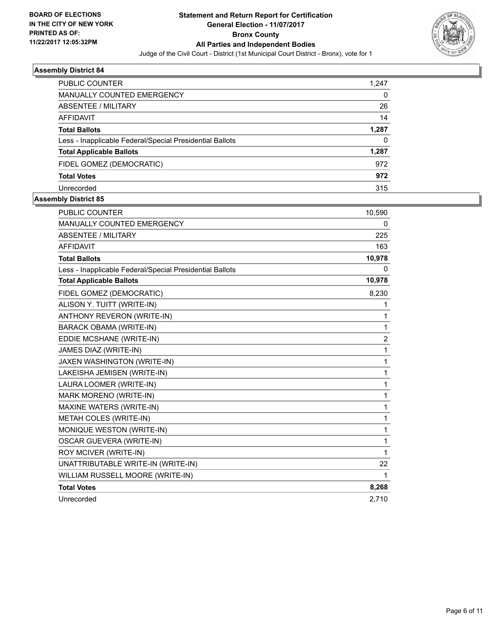

| <b>PUBLIC COUNTER</b>                                    | 1,247 |
|----------------------------------------------------------|-------|
| <b>MANUALLY COUNTED EMERGENCY</b>                        | 0     |
| ABSENTEE / MILITARY                                      | 26    |
| AFFIDAVIT                                                | 14    |
| <b>Total Ballots</b>                                     | 1,287 |
| Less - Inapplicable Federal/Special Presidential Ballots | 0     |
| <b>Total Applicable Ballots</b>                          | 1,287 |
| FIDEL GOMEZ (DEMOCRATIC)                                 | 972   |
| <b>Total Votes</b>                                       | 972   |
| Unrecorded                                               | 315   |

| <b>PUBLIC COUNTER</b>                                    | 10,590         |
|----------------------------------------------------------|----------------|
| <b>MANUALLY COUNTED EMERGENCY</b>                        | 0              |
| <b>ABSENTEE / MILITARY</b>                               | 225            |
| <b>AFFIDAVIT</b>                                         | 163            |
| <b>Total Ballots</b>                                     | 10,978         |
| Less - Inapplicable Federal/Special Presidential Ballots | 0              |
| <b>Total Applicable Ballots</b>                          | 10,978         |
| FIDEL GOMEZ (DEMOCRATIC)                                 | 8,230          |
| ALISON Y. TUITT (WRITE-IN)                               | 1              |
| ANTHONY REVERON (WRITE-IN)                               | 1              |
| <b>BARACK OBAMA (WRITE-IN)</b>                           | 1              |
| EDDIE MCSHANE (WRITE-IN)                                 | $\overline{2}$ |
| JAMES DIAZ (WRITE-IN)                                    | $\mathbf{1}$   |
| JAXEN WASHINGTON (WRITE-IN)                              | 1              |
| LAKEISHA JEMISEN (WRITE-IN)                              | 1              |
| LAURA LOOMER (WRITE-IN)                                  | 1              |
| <b>MARK MORENO (WRITE-IN)</b>                            | 1              |
| MAXINE WATERS (WRITE-IN)                                 | $\mathbf{1}$   |
| METAH COLES (WRITE-IN)                                   | $\mathbf{1}$   |
| MONIQUE WESTON (WRITE-IN)                                | 1              |
| <b>OSCAR GUEVERA (WRITE-IN)</b>                          | 1              |
| ROY MCIVER (WRITE-IN)                                    | 1              |
| UNATTRIBUTABLE WRITE-IN (WRITE-IN)                       | 22             |
| WILLIAM RUSSELL MOORE (WRITE-IN)                         | 1              |
| <b>Total Votes</b>                                       | 8,268          |
| Unrecorded                                               | 2,710          |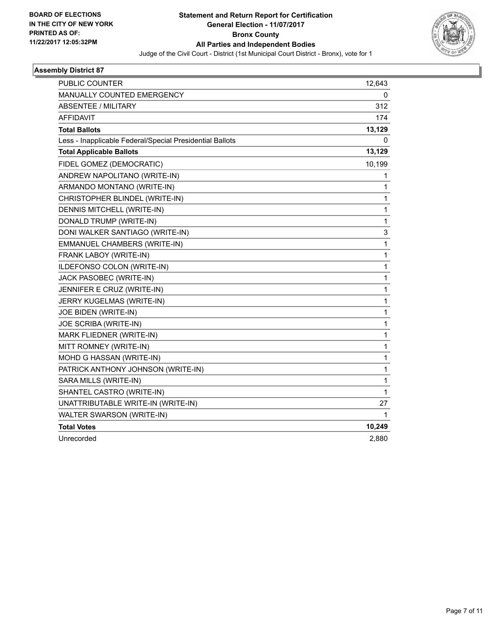

| PUBLIC COUNTER                                           | 12,643       |
|----------------------------------------------------------|--------------|
| <b>MANUALLY COUNTED EMERGENCY</b>                        | 0            |
| <b>ABSENTEE / MILITARY</b>                               | 312          |
| <b>AFFIDAVIT</b>                                         | 174          |
| <b>Total Ballots</b>                                     | 13,129       |
| Less - Inapplicable Federal/Special Presidential Ballots | 0            |
| <b>Total Applicable Ballots</b>                          | 13,129       |
| FIDEL GOMEZ (DEMOCRATIC)                                 | 10,199       |
| ANDREW NAPOLITANO (WRITE-IN)                             | 1            |
| ARMANDO MONTANO (WRITE-IN)                               | 1            |
| CHRISTOPHER BLINDEL (WRITE-IN)                           | 1            |
| DENNIS MITCHELL (WRITE-IN)                               | 1            |
| DONALD TRUMP (WRITE-IN)                                  | 1            |
| DONI WALKER SANTIAGO (WRITE-IN)                          | 3            |
| EMMANUEL CHAMBERS (WRITE-IN)                             | 1            |
| FRANK LABOY (WRITE-IN)                                   | 1            |
| ILDEFONSO COLON (WRITE-IN)                               | $\mathbf{1}$ |
| JACK PASOBEC (WRITE-IN)                                  | 1            |
| JENNIFER E CRUZ (WRITE-IN)                               | 1            |
| JERRY KUGELMAS (WRITE-IN)                                | 1            |
| <b>JOE BIDEN (WRITE-IN)</b>                              | 1            |
| JOE SCRIBA (WRITE-IN)                                    | 1            |
| MARK FLIEDNER (WRITE-IN)                                 | 1            |
| MITT ROMNEY (WRITE-IN)                                   | 1            |
| MOHD G HASSAN (WRITE-IN)                                 | 1            |
| PATRICK ANTHONY JOHNSON (WRITE-IN)                       | 1            |
| SARA MILLS (WRITE-IN)                                    | 1            |
| SHANTEL CASTRO (WRITE-IN)                                | 1            |
| UNATTRIBUTABLE WRITE-IN (WRITE-IN)                       | 27           |
| WALTER SWARSON (WRITE-IN)                                | 1            |
| <b>Total Votes</b>                                       | 10,249       |
| Unrecorded                                               | 2.880        |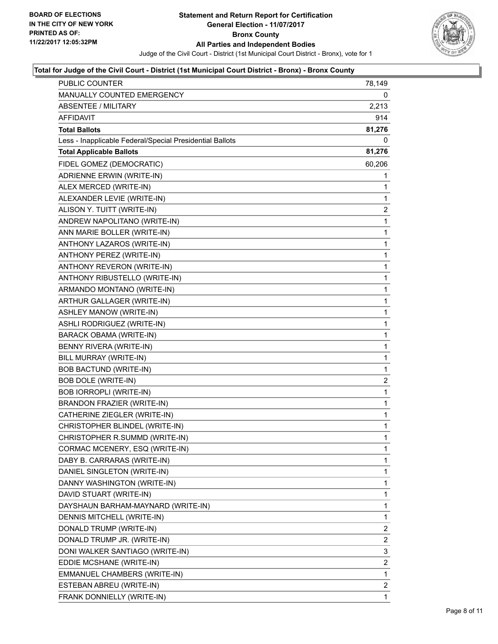

#### **Total for Judge of the Civil Court - District (1st Municipal Court District - Bronx) - Bronx County**

| <b>PUBLIC COUNTER</b>                                    | 78,149                  |
|----------------------------------------------------------|-------------------------|
| MANUALLY COUNTED EMERGENCY                               | 0                       |
| <b>ABSENTEE / MILITARY</b>                               | 2,213                   |
| AFFIDAVIT                                                | 914                     |
| <b>Total Ballots</b>                                     | 81,276                  |
| Less - Inapplicable Federal/Special Presidential Ballots | 0                       |
| <b>Total Applicable Ballots</b>                          | 81,276                  |
| FIDEL GOMEZ (DEMOCRATIC)                                 | 60,206                  |
| ADRIENNE ERWIN (WRITE-IN)                                | 1                       |
| ALEX MERCED (WRITE-IN)                                   | 1                       |
| ALEXANDER LEVIE (WRITE-IN)                               | 1                       |
| ALISON Y. TUITT (WRITE-IN)                               | $\overline{\mathbf{c}}$ |
| ANDREW NAPOLITANO (WRITE-IN)                             | 1                       |
| ANN MARIE BOLLER (WRITE-IN)                              | 1                       |
| ANTHONY LAZAROS (WRITE-IN)                               | 1                       |
| <b>ANTHONY PEREZ (WRITE-IN)</b>                          | $\mathbf 1$             |
| ANTHONY REVERON (WRITE-IN)                               | 1                       |
| ANTHONY RIBUSTELLO (WRITE-IN)                            | 1                       |
| ARMANDO MONTANO (WRITE-IN)                               | 1                       |
| ARTHUR GALLAGER (WRITE-IN)                               | 1                       |
| ASHLEY MANOW (WRITE-IN)                                  | 1                       |
| ASHLI RODRIGUEZ (WRITE-IN)                               | 1                       |
| BARACK OBAMA (WRITE-IN)                                  | 1                       |
| BENNY RIVERA (WRITE-IN)                                  | 1                       |
| BILL MURRAY (WRITE-IN)                                   | 1                       |
| BOB BACTUND (WRITE-IN)                                   | 1                       |
| <b>BOB DOLE (WRITE-IN)</b>                               | $\overline{\mathbf{c}}$ |
| <b>BOB IORROPLI (WRITE-IN)</b>                           | 1                       |
| BRANDON FRAZIER (WRITE-IN)                               | 1                       |
| CATHERINE ZIEGLER (WRITE-IN)                             | 1                       |
| CHRISTOPHER BLINDEL (WRITE-IN)                           | $\mathbf{1}$            |
| CHRISTOPHER R.SUMMD (WRITE-IN)                           | $\mathbf{1}$            |
| CORMAC MCENERY, ESQ (WRITE-IN)                           | 1                       |
| DABY B. CARRARAS (WRITE-IN)                              | 1                       |
| DANIEL SINGLETON (WRITE-IN)                              | 1                       |
| DANNY WASHINGTON (WRITE-IN)                              | 1                       |
| DAVID STUART (WRITE-IN)                                  | 1                       |
| DAYSHAUN BARHAM-MAYNARD (WRITE-IN)                       | 1                       |
| DENNIS MITCHELL (WRITE-IN)                               | 1                       |
| DONALD TRUMP (WRITE-IN)                                  | 2                       |
| DONALD TRUMP JR. (WRITE-IN)                              | 2                       |
| DONI WALKER SANTIAGO (WRITE-IN)                          | 3                       |
| EDDIE MCSHANE (WRITE-IN)                                 | 2                       |
| EMMANUEL CHAMBERS (WRITE-IN)                             | 1                       |
| ESTEBAN ABREU (WRITE-IN)                                 | $\overline{2}$          |
| FRANK DONNIELLY (WRITE-IN)                               | 1                       |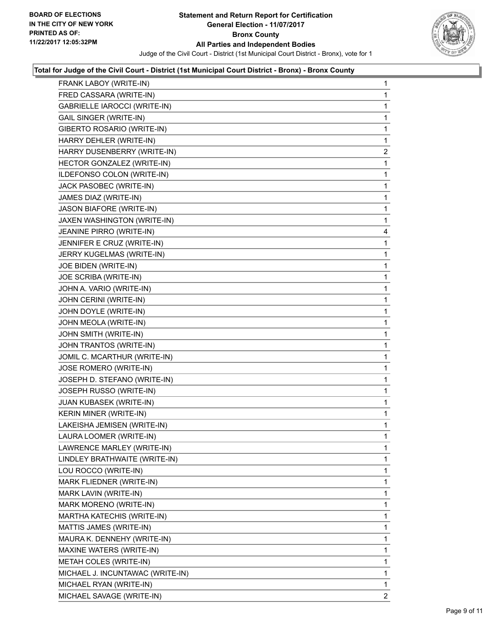

#### **Total for Judge of the Civil Court - District (1st Municipal Court District - Bronx) - Bronx County**

| FRANK LABOY (WRITE-IN)           | 1            |
|----------------------------------|--------------|
| FRED CASSARA (WRITE-IN)          | 1            |
| GABRIELLE IAROCCI (WRITE-IN)     | 1            |
| <b>GAIL SINGER (WRITE-IN)</b>    | 1            |
| GIBERTO ROSARIO (WRITE-IN)       | 1            |
| HARRY DEHLER (WRITE-IN)          | 1            |
| HARRY DUSENBERRY (WRITE-IN)      | 2            |
| HECTOR GONZALEZ (WRITE-IN)       | 1            |
| ILDEFONSO COLON (WRITE-IN)       | 1            |
| JACK PASOBEC (WRITE-IN)          | 1            |
| JAMES DIAZ (WRITE-IN)            | 1            |
| JASON BIAFORE (WRITE-IN)         | 1            |
| JAXEN WASHINGTON (WRITE-IN)      | 1            |
| JEANINE PIRRO (WRITE-IN)         | 4            |
| JENNIFER E CRUZ (WRITE-IN)       | 1            |
| JERRY KUGELMAS (WRITE-IN)        | 1            |
| JOE BIDEN (WRITE-IN)             | 1            |
| JOE SCRIBA (WRITE-IN)            | 1            |
| JOHN A. VARIO (WRITE-IN)         | 1            |
| JOHN CERINI (WRITE-IN)           | 1            |
| JOHN DOYLE (WRITE-IN)            | 1            |
| JOHN MEOLA (WRITE-IN)            | 1            |
| JOHN SMITH (WRITE-IN)            | 1            |
| JOHN TRANTOS (WRITE-IN)          | 1            |
| JOMIL C. MCARTHUR (WRITE-IN)     | 1            |
| JOSE ROMERO (WRITE-IN)           | 1            |
| JOSEPH D. STEFANO (WRITE-IN)     | 1            |
| JOSEPH RUSSO (WRITE-IN)          | 1            |
| JUAN KUBASEK (WRITE-IN)          | 1            |
| KERIN MINER (WRITE-IN)           | 1            |
| LAKEISHA JEMISEN (WRITE-IN)      | 1            |
| LAURA LOOMER (WRITE-IN)          | 1            |
| LAWRENCE MARLEY (WRITE-IN)       | 1            |
| LINDLEY BRATHWAITE (WRITE-IN)    | $\mathbf{1}$ |
| LOU ROCCO (WRITE-IN)             | 1            |
| MARK FLIEDNER (WRITE-IN)         | 1            |
| MARK LAVIN (WRITE-IN)            | 1            |
| MARK MORENO (WRITE-IN)           | 1            |
| MARTHA KATECHIS (WRITE-IN)       | 1            |
| MATTIS JAMES (WRITE-IN)          | 1            |
| MAURA K. DENNEHY (WRITE-IN)      | 1            |
| MAXINE WATERS (WRITE-IN)         | 1            |
| <b>METAH COLES (WRITE-IN)</b>    | 1            |
| MICHAEL J. INCUNTAWAC (WRITE-IN) | 1            |
| MICHAEL RYAN (WRITE-IN)          | 1            |
| MICHAEL SAVAGE (WRITE-IN)        | 2            |
|                                  |              |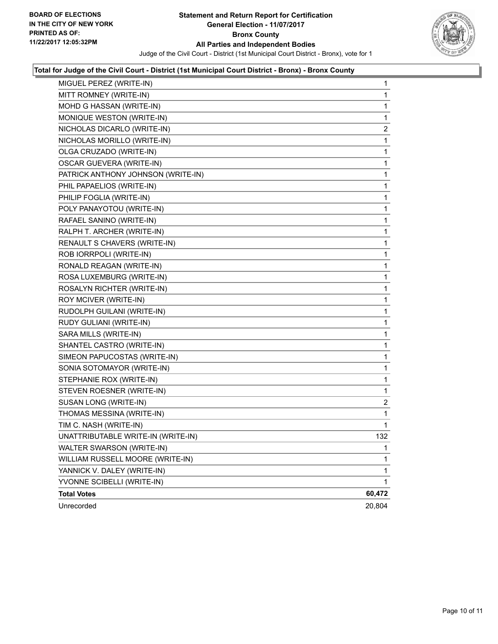

## **Total for Judge of the Civil Court - District (1st Municipal Court District - Bronx) - Bronx County**

| MIGUEL PEREZ (WRITE-IN)            | 1                       |
|------------------------------------|-------------------------|
| MITT ROMNEY (WRITE-IN)             | 1                       |
| MOHD G HASSAN (WRITE-IN)           | 1                       |
| MONIQUE WESTON (WRITE-IN)          | 1                       |
| NICHOLAS DICARLO (WRITE-IN)        | $\overline{\mathbf{c}}$ |
| NICHOLAS MORILLO (WRITE-IN)        | 1                       |
| OLGA CRUZADO (WRITE-IN)            | 1                       |
| <b>OSCAR GUEVERA (WRITE-IN)</b>    | 1                       |
| PATRICK ANTHONY JOHNSON (WRITE-IN) | 1                       |
| PHIL PAPAELIOS (WRITE-IN)          | 1                       |
| PHILIP FOGLIA (WRITE-IN)           | 1                       |
| POLY PANAYOTOU (WRITE-IN)          | 1                       |
| RAFAEL SANINO (WRITE-IN)           | 1                       |
| RALPH T. ARCHER (WRITE-IN)         | 1                       |
| RENAULT S CHAVERS (WRITE-IN)       | 1                       |
| ROB IORRPOLI (WRITE-IN)            | 1                       |
| RONALD REAGAN (WRITE-IN)           | 1                       |
| ROSA LUXEMBURG (WRITE-IN)          | 1                       |
| ROSALYN RICHTER (WRITE-IN)         | 1                       |
| ROY MCIVER (WRITE-IN)              | 1                       |
| RUDOLPH GUILANI (WRITE-IN)         | 1                       |
| RUDY GULIANI (WRITE-IN)            | 1                       |
| SARA MILLS (WRITE-IN)              | 1                       |
| SHANTEL CASTRO (WRITE-IN)          | 1                       |
| SIMEON PAPUCOSTAS (WRITE-IN)       | 1                       |
| SONIA SOTOMAYOR (WRITE-IN)         | 1                       |
| STEPHANIE ROX (WRITE-IN)           | 1                       |
| STEVEN ROESNER (WRITE-IN)          | 1                       |
| SUSAN LONG (WRITE-IN)              | $\overline{\mathbf{c}}$ |
| THOMAS MESSINA (WRITE-IN)          | 1                       |
| TIM C. NASH (WRITE-IN)             | 1                       |
| UNATTRIBUTABLE WRITE-IN (WRITE-IN) | 132                     |
| WALTER SWARSON (WRITE-IN)          | 1                       |
| WILLIAM RUSSELL MOORE (WRITE-IN)   | 1                       |
| YANNICK V. DALEY (WRITE-IN)        | 1                       |
| YVONNE SCIBELLI (WRITE-IN)         | $\mathbf{1}$            |
| <b>Total Votes</b>                 | 60,472                  |
| Unrecorded                         | 20,804                  |